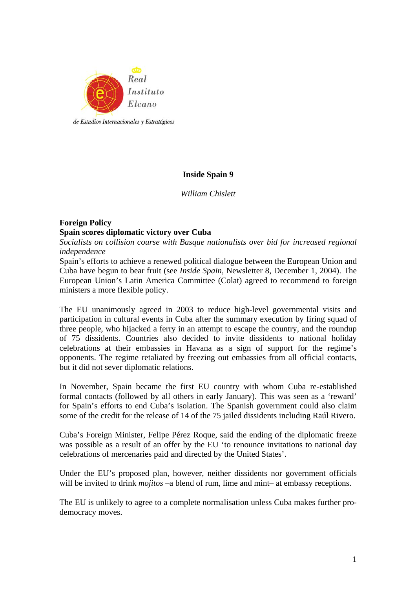

## **Inside Spain 9**

*William Chislett* 

# **Foreign Policy Spain scores diplomatic victory over Cuba**

*Socialists on collision course with Basque nationalists over bid for increased regional independence* 

Spain's efforts to achieve a renewed political dialogue between the European Union and Cuba have begun to bear fruit (see *Inside Spain*, Newsletter 8, December 1, 2004). The European Union's Latin America Committee (Colat) agreed to recommend to foreign ministers a more flexible policy.

The EU unanimously agreed in 2003 to reduce high-level governmental visits and participation in cultural events in Cuba after the summary execution by firing squad of three people, who hijacked a ferry in an attempt to escape the country, and the roundup of 75 dissidents. Countries also decided to invite dissidents to national holiday celebrations at their embassies in Havana as a sign of support for the regime's opponents. The regime retaliated by freezing out embassies from all official contacts, but it did not sever diplomatic relations.

In November, Spain became the first EU country with whom Cuba re-established formal contacts (followed by all others in early January). This was seen as a 'reward' for Spain's efforts to end Cuba's isolation. The Spanish government could also claim some of the credit for the release of 14 of the 75 jailed dissidents including Raúl Rivero.

Cuba's Foreign Minister, Felipe Pérez Roque, said the ending of the diplomatic freeze was possible as a result of an offer by the EU 'to renounce invitations to national day celebrations of mercenaries paid and directed by the United States'.

Under the EU's proposed plan, however, neither dissidents nor government officials will be invited to drink *mojitos* –a blend of rum, lime and mint– at embassy receptions.

The EU is unlikely to agree to a complete normalisation unless Cuba makes further prodemocracy moves.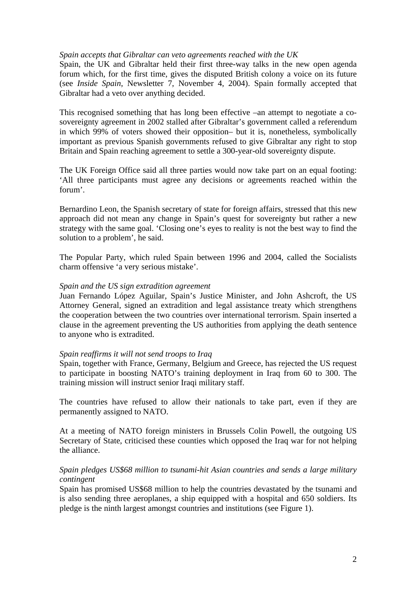### *Spain accepts that Gibraltar can veto agreements reached with the UK*

Spain, the UK and Gibraltar held their first three-way talks in the new open agenda forum which, for the first time, gives the disputed British colony a voice on its future (see *Inside Spain*, Newsletter 7, November 4, 2004). Spain formally accepted that Gibraltar had a veto over anything decided.

This recognised something that has long been effective –an attempt to negotiate a cosovereignty agreement in 2002 stalled after Gibraltar's government called a referendum in which 99% of voters showed their opposition– but it is, nonetheless, symbolically important as previous Spanish governments refused to give Gibraltar any right to stop Britain and Spain reaching agreement to settle a 300-year-old sovereignty dispute.

The UK Foreign Office said all three parties would now take part on an equal footing: 'All three participants must agree any decisions or agreements reached within the forum'.

Bernardino Leon, the Spanish secretary of state for foreign affairs, stressed that this new approach did not mean any change in Spain's quest for sovereignty but rather a new strategy with the same goal. 'Closing one's eyes to reality is not the best way to find the solution to a problem', he said.

The Popular Party, which ruled Spain between 1996 and 2004, called the Socialists charm offensive 'a very serious mistake'.

### *Spain and the US sign extradition agreement*

Juan Fernando López Aguilar, Spain's Justice Minister, and John Ashcroft, the US Attorney General, signed an extradition and legal assistance treaty which strengthens the cooperation between the two countries over international terrorism. Spain inserted a clause in the agreement preventing the US authorities from applying the death sentence to anyone who is extradited.

### *Spain reaffirms it will not send troops to Iraq*

Spain, together with France, Germany, Belgium and Greece, has rejected the US request to participate in boosting NATO's training deployment in Iraq from 60 to 300. The training mission will instruct senior Iraqi military staff.

The countries have refused to allow their nationals to take part, even if they are permanently assigned to NATO.

At a meeting of NATO foreign ministers in Brussels Colin Powell, the outgoing US Secretary of State, criticised these counties which opposed the Iraq war for not helping the alliance.

### *Spain pledges US\$68 million to tsunami-hit Asian countries and sends a large military contingent*

Spain has promised US\$68 million to help the countries devastated by the tsunami and is also sending three aeroplanes, a ship equipped with a hospital and 650 soldiers. Its pledge is the ninth largest amongst countries and institutions (see Figure 1).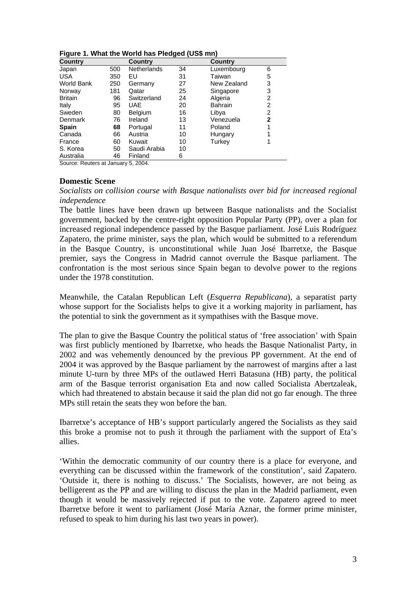|  |  |  |  |  | Figure 1. What the World has Pledged (US\$ mn) |
|--|--|--|--|--|------------------------------------------------|
|--|--|--|--|--|------------------------------------------------|

| <b>Country</b>    |     | <b>Country</b>     |    | <b>Country</b> |              |
|-------------------|-----|--------------------|----|----------------|--------------|
| Japan             | 500 | <b>Netherlands</b> | 34 | Luxembourg     | 6            |
| <b>USA</b>        | 350 | EU                 | 31 | Taiwan         | 5            |
| <b>World Bank</b> | 250 | Germany            | 27 | New Zealand    | 3            |
| Norway            | 181 | Qatar              | 25 | Singapore      | 3            |
| <b>Britain</b>    | 96  | Switzerland        | 24 | Algeria        | 2            |
| Italy             | 95  | UAE                | 20 | <b>Bahrain</b> | 2            |
| Sweden            | 80  | <b>Belgium</b>     | 16 | Libya          | 2            |
| Denmark           | 76  | Ireland            | 13 | Venezuela      | $\mathbf{2}$ |
| <b>Spain</b>      | 68  | Portugal           | 11 | Poland         |              |
| Canada            | 66  | Austria            | 10 | Hungary        |              |
| France            | 60  | Kuwait             | 10 | Turkey         |              |
| S. Korea          | 50  | Saudi Arabia       | 10 |                |              |
| Australia         | 46  | Finland            | 6  |                |              |

Source: Reuters at January 5, 2004.

#### **Domestic Scene**

*Socialists on collision course with Basque nationalists over bid for increased regional independence* 

The battle lines have been drawn up between Basque nationalists and the Socialist government, backed by the centre-right opposition Popular Party (PP), over a plan for increased regional independence passed by the Basque parliament. José Luis Rodríguez Zapatero, the prime minister, says the plan, which would be submitted to a referendum in the Basque Country, is unconstitutional while Juan José Ibarretxe, the Basque premier, says the Congress in Madrid cannot overrule the Basque parliament. The confrontation is the most serious since Spain began to devolve power to the regions under the 1978 constitution.

Meanwhile, the Catalan Republican Left (*Esquerra Republicana*), a separatist party whose support for the Socialists helps to give it a working majority in parliament, has the potential to sink the government as it sympathises with the Basque move.

The plan to give the Basque Country the political status of 'free association' with Spain was first publicly mentioned by Ibarretxe, who heads the Basque Nationalist Party, in 2002 and was vehemently denounced by the previous PP government. At the end of 2004 it was approved by the Basque parliament by the narrowest of margins after a last minute U-turn by three MPs of the outlawed Herri Batasuna (HB) party, the political arm of the Basque terrorist organisation Eta and now called Socialista Abertzaleak, which had threatened to abstain because it said the plan did not go far enough. The three MPs still retain the seats they won before the ban.

Ibarretxe's acceptance of HB's support particularly angered the Socialists as they said this broke a promise not to push it through the parliament with the support of Eta's allies.

'Within the democratic community of our country there is a place for everyone, and everything can be discussed within the framework of the constitution', said Zapatero. 'Outside it, there is nothing to discuss.' The Socialists, however, are not being as belligerent as the PP and are willing to discuss the plan in the Madrid parliament, even though it would be massively rejected if put to the vote. Zapatero agreed to meet Ibarretxe before it went to parliament (José María Aznar, the former prime minister, refused to speak to him during his last two years in power).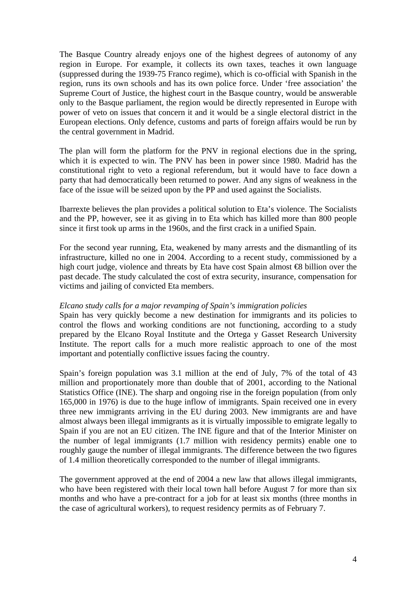The Basque Country already enjoys one of the highest degrees of autonomy of any region in Europe. For example, it collects its own taxes, teaches it own language (suppressed during the 1939-75 Franco regime), which is co-official with Spanish in the region, runs its own schools and has its own police force. Under 'free association' the Supreme Court of Justice, the highest court in the Basque country, would be answerable only to the Basque parliament, the region would be directly represented in Europe with power of veto on issues that concern it and it would be a single electoral district in the European elections. Only defence, customs and parts of foreign affairs would be run by the central government in Madrid.

The plan will form the platform for the PNV in regional elections due in the spring, which it is expected to win. The PNV has been in power since 1980. Madrid has the constitutional right to veto a regional referendum, but it would have to face down a party that had democratically been returned to power. And any signs of weakness in the face of the issue will be seized upon by the PP and used against the Socialists.

Ibarrexte believes the plan provides a political solution to Eta's violence. The Socialists and the PP, however, see it as giving in to Eta which has killed more than 800 people since it first took up arms in the 1960s, and the first crack in a unified Spain.

For the second year running, Eta, weakened by many arrests and the dismantling of its infrastructure, killed no one in 2004. According to a recent study, commissioned by a high court judge, violence and threats by Eta have cost Spain almost €8 billion over the past decade. The study calculated the cost of extra security, insurance, compensation for victims and jailing of convicted Eta members.

### *Elcano study calls for a major revamping of Spain's immigration policies*

Spain has very quickly become a new destination for immigrants and its policies to control the flows and working conditions are not functioning, according to a study prepared by the Elcano Royal Institute and the Ortega y Gasset Research University Institute. The report calls for a much more realistic approach to one of the most important and potentially conflictive issues facing the country.

Spain's foreign population was 3.1 million at the end of July, 7% of the total of 43 million and proportionately more than double that of 2001, according to the National Statistics Office (INE). The sharp and ongoing rise in the foreign population (from only 165,000 in 1976) is due to the huge inflow of immigrants. Spain received one in every three new immigrants arriving in the EU during 2003. New immigrants are and have almost always been illegal immigrants as it is virtually impossible to emigrate legally to Spain if you are not an EU citizen. The INE figure and that of the Interior Minister on the number of legal immigrants (1.7 million with residency permits) enable one to roughly gauge the number of illegal immigrants. The difference between the two figures of 1.4 million theoretically corresponded to the number of illegal immigrants.

The government approved at the end of 2004 a new law that allows illegal immigrants, who have been registered with their local town hall before August 7 for more than six months and who have a pre-contract for a job for at least six months (three months in the case of agricultural workers), to request residency permits as of February 7.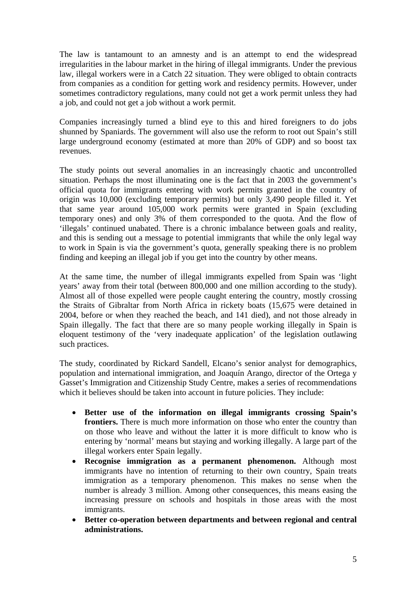The law is tantamount to an amnesty and is an attempt to end the widespread irregularities in the labour market in the hiring of illegal immigrants. Under the previous law, illegal workers were in a Catch 22 situation. They were obliged to obtain contracts from companies as a condition for getting work and residency permits. However, under sometimes contradictory regulations, many could not get a work permit unless they had a job, and could not get a job without a work permit.

Companies increasingly turned a blind eye to this and hired foreigners to do jobs shunned by Spaniards. The government will also use the reform to root out Spain's still large underground economy (estimated at more than 20% of GDP) and so boost tax revenues.

The study points out several anomalies in an increasingly chaotic and uncontrolled situation. Perhaps the most illuminating one is the fact that in 2003 the government's official quota for immigrants entering with work permits granted in the country of origin was 10,000 (excluding temporary permits) but only 3,490 people filled it. Yet that same year around 105,000 work permits were granted in Spain (excluding temporary ones) and only 3% of them corresponded to the quota. And the flow of 'illegals' continued unabated. There is a chronic imbalance between goals and reality, and this is sending out a message to potential immigrants that while the only legal way to work in Spain is via the government's quota, generally speaking there is no problem finding and keeping an illegal job if you get into the country by other means.

At the same time, the number of illegal immigrants expelled from Spain was 'light years' away from their total (between 800,000 and one million according to the study). Almost all of those expelled were people caught entering the country, mostly crossing the Straits of Gibraltar from North Africa in rickety boats (15,675 were detained in 2004, before or when they reached the beach, and 141 died), and not those already in Spain illegally. The fact that there are so many people working illegally in Spain is eloquent testimony of the 'very inadequate application' of the legislation outlawing such practices.

The study, coordinated by Rickard Sandell, Elcano's senior analyst for demographics, population and international immigration, and Joaquín Arango, director of the Ortega y Gasset's Immigration and Citizenship Study Centre, makes a series of recommendations which it believes should be taken into account in future policies. They include:

- **Better use of the information on illegal immigrants crossing Spain's frontiers.** There is much more information on those who enter the country than on those who leave and without the latter it is more difficult to know who is entering by 'normal' means but staying and working illegally. A large part of the illegal workers enter Spain legally.
- **Recognise immigration as a permanent phenomenon.** Although most immigrants have no intention of returning to their own country, Spain treats immigration as a temporary phenomenon. This makes no sense when the number is already 3 million. Among other consequences, this means easing the increasing pressure on schools and hospitals in those areas with the most immigrants.
- **Better co-operation between departments and between regional and central administrations.**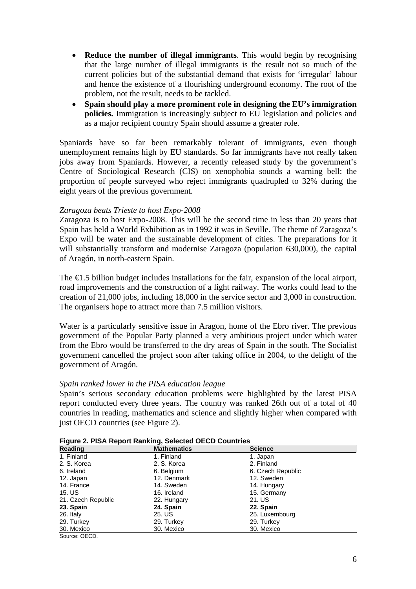- **Reduce the number of illegal immigrants**. This would begin by recognising that the large number of illegal immigrants is the result not so much of the current policies but of the substantial demand that exists for 'irregular' labour and hence the existence of a flourishing underground economy. The root of the problem, not the result, needs to be tackled.
- **Spain should play a more prominent role in designing the EU's immigration policies.** Immigration is increasingly subject to EU legislation and policies and as a major recipient country Spain should assume a greater role.

Spaniards have so far been remarkably tolerant of immigrants, even though unemployment remains high by EU standards. So far immigrants have not really taken jobs away from Spaniards. However, a recently released study by the government's Centre of Sociological Research (CIS) on xenophobia sounds a warning bell: the proportion of people surveyed who reject immigrants quadrupled to 32% during the eight years of the previous government.

## *Zaragoza beats Trieste to host Expo-2008*

Zaragoza is to host Expo-2008. This will be the second time in less than 20 years that Spain has held a World Exhibition as in 1992 it was in Seville. The theme of Zaragoza's Expo will be water and the sustainable development of cities. The preparations for it will substantially transform and modernise Zaragoza (population 630,000), the capital of Aragón, in north-eastern Spain.

The €1.5 billion budget includes installations for the fair, expansion of the local airport, road improvements and the construction of a light railway. The works could lead to the creation of 21,000 jobs, including 18,000 in the service sector and 3,000 in construction. The organisers hope to attract more than 7.5 million visitors.

Water is a particularly sensitive issue in Aragon, home of the Ebro river. The previous government of the Popular Party planned a very ambitious project under which water from the Ebro would be transferred to the dry areas of Spain in the south. The Socialist government cancelled the project soon after taking office in 2004, to the delight of the government of Aragón.

### *Spain ranked lower in the PISA education league*

Spain's serious secondary education problems were highlighted by the latest PISA report conducted every three years. The country was ranked 26th out of a total of 40 countries in reading, mathematics and science and slightly higher when compared with just OECD countries (see Figure 2).

| Reading            | <b>Mathematics</b> | <b>Science</b>    |
|--------------------|--------------------|-------------------|
| 1. Finland         | 1. Finland         | 1. Japan          |
| 2. S. Korea        | 2. S. Korea        | 2. Finland        |
| 6. Ireland         | 6. Belgium         | 6. Czech Republic |
| 12. Japan          | 12. Denmark        | 12. Sweden        |
| 14. France         | 14. Sweden         | 14. Hungary       |
| 15. US             | 16. Ireland        | 15. Germany       |
| 21. Czech Republic | 22. Hungary        | 21. US            |
| 23. Spain          | 24. Spain          | 22. Spain         |
| 26. Italy          | 25. US             | 25. Luxembourg    |
| 29. Turkey         | 29. Turkey         | 29. Turkey        |
| 30. Mexico         | 30. Mexico         | 30. Mexico        |
| Source: OECD.      |                    |                   |

**Figure 2. PISA Report Ranking, Selected OECD Countries**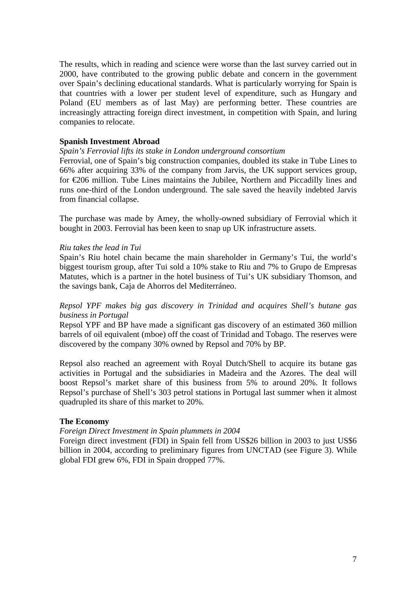The results, which in reading and science were worse than the last survey carried out in 2000, have contributed to the growing public debate and concern in the government over Spain's declining educational standards. What is particularly worrying for Spain is that countries with a lower per student level of expenditure, such as Hungary and Poland (EU members as of last May) are performing better. These countries are increasingly attracting foreign direct investment, in competition with Spain, and luring companies to relocate.

### **Spanish Investment Abroad**

#### *Spain's Ferrovial lifts its stake in London underground consortium*

Ferrovial, one of Spain's big construction companies, doubled its stake in Tube Lines to 66% after acquiring 33% of the company from Jarvis, the UK support services group, for €206 million. Tube Lines maintains the Jubilee, Northern and Piccadilly lines and runs one-third of the London underground. The sale saved the heavily indebted Jarvis from financial collapse.

The purchase was made by Amey, the wholly-owned subsidiary of Ferrovial which it bought in 2003. Ferrovial has been keen to snap up UK infrastructure assets.

#### *Riu takes the lead in Tui*

Spain's Riu hotel chain became the main shareholder in Germany's Tui, the world's biggest tourism group, after Tui sold a 10% stake to Riu and 7% to Grupo de Empresas Matutes, which is a partner in the hotel business of Tui's UK subsidiary Thomson, and the savings bank, Caja de Ahorros del Mediterráneo.

### *Repsol YPF makes big gas discovery in Trinidad and acquires Shell's butane gas business in Portugal*

Repsol YPF and BP have made a significant gas discovery of an estimated 360 million barrels of oil equivalent (mboe) off the coast of Trinidad and Tobago. The reserves were discovered by the company 30% owned by Repsol and 70% by BP.

Repsol also reached an agreement with Royal Dutch/Shell to acquire its butane gas activities in Portugal and the subsidiaries in Madeira and the Azores. The deal will boost Repsol's market share of this business from 5% to around 20%. It follows Repsol's purchase of Shell's 303 petrol stations in Portugal last summer when it almost quadrupled its share of this market to 20%.

### **The Economy**

#### *Foreign Direct Investment in Spain plummets in 2004*

Foreign direct investment (FDI) in Spain fell from US\$26 billion in 2003 to just US\$6 billion in 2004, according to preliminary figures from UNCTAD (see Figure 3). While global FDI grew 6%, FDI in Spain dropped 77%.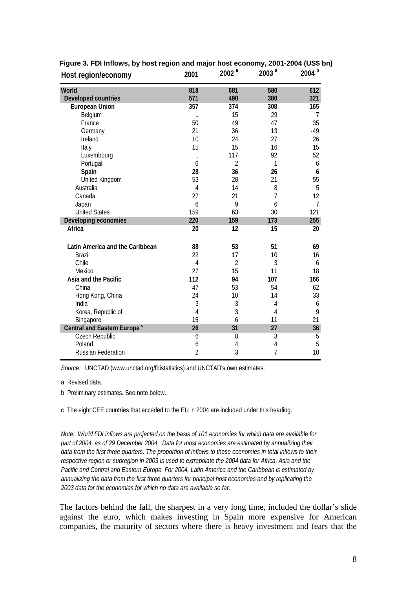| Host region/economy                     | 2001                 | 2002 <sup>a</sup> | 2003 <sup>a</sup> | 2004 <sup>b</sup> |
|-----------------------------------------|----------------------|-------------------|-------------------|-------------------|
| World                                   | 818                  | 681               | 580               | 612               |
| <b>Developed countries</b>              | 571                  | 490               | 380               | 321               |
| <b>European Union</b>                   | 357                  | 374               | 308               | 165               |
| Belgium                                 | $\ddot{\phantom{0}}$ | 15                | 29                | 7                 |
| France                                  | 50                   | 49                | 47                | 35                |
| Germany                                 | 21                   | 36                | 13                | $-49$             |
| Ireland                                 | 10                   | 24                | 27                | 26                |
| Italy                                   | 15                   | 15                | 16                | 15                |
| Luxembourg                              |                      | 117               | 92                | 52                |
| Portugal                                | 6                    | $\overline{2}$    | 1                 | 6                 |
| Spain                                   | 28                   | 36                | 26                | 6                 |
| United Kingdom                          | 53                   | 28                | 21                | 55                |
| Australia                               | $\overline{4}$       | 14                | 8                 | 5                 |
| Canada                                  | 27                   | 21                | $\overline{7}$    | 12                |
| Japan                                   | 6                    | 9                 | 6                 | $\overline{7}$    |
| <b>United States</b>                    | 159                  | 63                | 30                | 121               |
| Developing economies                    | 220                  | 159               | 173               | 255               |
| Africa                                  | 20                   | 12                | 15                | 20                |
| Latin America and the Caribbean         | 88                   | 53                | 51                | 69                |
| <b>Brazil</b>                           | 22                   | 17                | 10                | 16                |
| Chile                                   | 4                    | $\overline{2}$    | 3                 | 6                 |
| Mexico                                  | 27                   | 15                | 11                | 18                |
| Asia and the Pacific                    | 112                  | 94                | 107               | 166               |
| China                                   | 47                   | 53                | 54                | 62                |
| Hong Kong, China                        | 24                   | 10                | 14                | 33                |
| India                                   | 3                    | 3                 | $\overline{4}$    | 6                 |
| Korea, Republic of                      | $\overline{4}$       | 3                 | $\overline{4}$    | 9                 |
| Singapore                               | 15                   | 6                 | 11                | 21                |
| Central and Eastern Europe <sup>c</sup> | 26                   | 31                | 27                | 36                |
| Czech Republic                          | 6                    | $\overline{8}$    | $\overline{3}$    | $\overline{5}$    |
| Poland                                  | 6                    | 4                 | 4                 | 5                 |
| <b>Russian Federation</b>               | $\overline{2}$       | 3                 | $\overline{7}$    | 10                |

# **Figure 3. FDI Inflows, by host region and major host economy, 2001-2004 (US\$ bn)**

*Source:* UNCTAD (www.unctad.org/fdistatistics) and UNCTAD's own estimates.

a Revised data.

b Preliminary estimates. See note below.

c The eight CEE countries that acceded to the EU in 2004 are included under this heading.

*Note: World FDI inflows are projected on the basis of 101 economies for which data are available for part of 2004, as of 29 December 2004. Data for most economies are estimated by annualizing their data from the first three quarters. The proportion of inflows to these economies in total inflows to their respective region or subregion in 2003 is used to extrapolate the 2004 data for Africa, Asia and the Pacific and Central and Eastern Europe. For 2004, Latin America and the Caribbean is estimated by annualizing the data from the first three quarters for principal host economies and by replicating the 2003 data for the economies for which no data are available so far.*

The factors behind the fall, the sharpest in a very long time, included the dollar's slide against the euro, which makes investing in Spain more expensive for American companies, the maturity of sectors where there is heavy investment and fears that the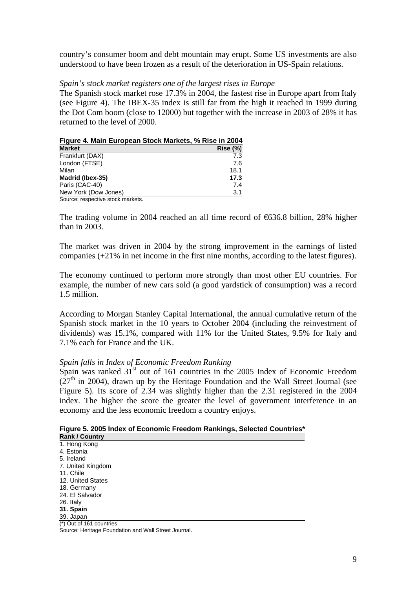country's consumer boom and debt mountain may erupt. Some US investments are also understood to have been frozen as a result of the deterioration in US-Spain relations.

### *Spain's stock market registers one of the largest rises in Europe*

The Spanish stock market rose 17.3% in 2004, the fastest rise in Europe apart from Italy (see Figure 4). The IBEX-35 index is still far from the high it reached in 1999 during the Dot Com boom (close to 12000) but together with the increase in 2003 of 28% it has returned to the level of 2000.

| Figure 4. Main European Stock Markets, % Rise in 2004 |         |
|-------------------------------------------------------|---------|
| <b>Market</b>                                         | Rise(%) |
| Frankfurt (DAX)                                       | 7.3     |
| London (FTSE)                                         | 7.6     |
| Milan                                                 | 18.1    |
| Madrid (Ibex-35)                                      | 17.3    |
| Paris (CAC-40)                                        | 7.4     |
| New York (Dow Jones)                                  | 3.1     |
| Source: respective stock markets.                     |         |

The trading volume in 2004 reached an all time record of  $636.8$  billion, 28% higher than in 2003.

The market was driven in 2004 by the strong improvement in the earnings of listed companies (+21% in net income in the first nine months, according to the latest figures).

The economy continued to perform more strongly than most other EU countries. For example, the number of new cars sold (a good yardstick of consumption) was a record 1.5 million.

According to Morgan Stanley Capital International, the annual cumulative return of the Spanish stock market in the 10 years to October 2004 (including the reinvestment of dividends) was 15.1%, compared with 11% for the United States, 9.5% for Italy and 7.1% each for France and the UK.

### *Spain falls in Index of Economic Freedom Ranking*

Spain was ranked  $31<sup>st</sup>$  out of 161 countries in the 2005 Index of Economic Freedom  $(27<sup>th</sup>$  in 2004), drawn up by the Heritage Foundation and the Wall Street Journal (see Figure 5). Its score of 2.34 was slightly higher than the 2.31 registered in the 2004 index. The higher the score the greater the level of government interference in an economy and the less economic freedom a country enjoys.

## **Figure 5. 2005 Index of Economic Freedom Rankings, Selected Countries\***

| <b>Rank / Country</b>     |  |
|---------------------------|--|
| 1. Hong Kong              |  |
| 4. Estonia                |  |
| 5. Ireland                |  |
| 7. United Kingdom         |  |
| 11. Chile                 |  |
| 12. United States         |  |
| 18. Germany               |  |
| 24. El Salvador           |  |
| 26. Italy                 |  |
| 31. Spain                 |  |
| 39. Japan                 |  |
| (*) Out of 161 countries. |  |

Source: Heritage Foundation and Wall Street Journal.